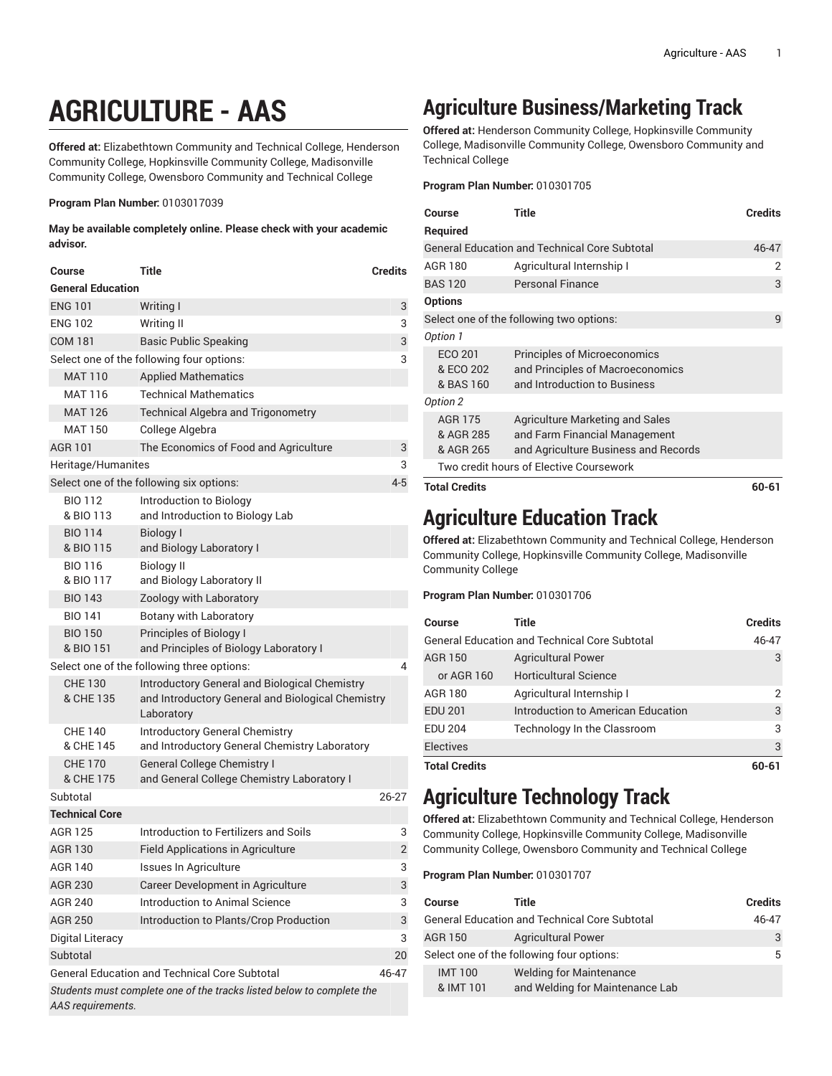# **AGRICULTURE - AAS**

**Offered at:** Elizabethtown Community and Technical College, Henderson Community College, Hopkinsville Community College, Madisonville Community College, Owensboro Community and Technical College

#### **Program Plan Number:** 0103017039

**May be available completely online. Please check with your academic advisor.**

| Course                      | Title                                                                                                     | Credits |
|-----------------------------|-----------------------------------------------------------------------------------------------------------|---------|
| <b>General Education</b>    |                                                                                                           |         |
| <b>ENG 101</b>              | Writing I                                                                                                 | 3       |
| <b>ENG 102</b>              | <b>Writing II</b>                                                                                         | 3       |
| <b>COM 181</b>              | <b>Basic Public Speaking</b>                                                                              | 3       |
|                             | Select one of the following four options:                                                                 | 3       |
| <b>MAT 110</b>              | <b>Applied Mathematics</b>                                                                                |         |
| MAT 116                     | <b>Technical Mathematics</b>                                                                              |         |
| <b>MAT 126</b>              | <b>Technical Algebra and Trigonometry</b>                                                                 |         |
| <b>MAT 150</b>              | College Algebra                                                                                           |         |
| <b>AGR 101</b>              | The Economics of Food and Agriculture                                                                     | 3       |
| Heritage/Humanites          |                                                                                                           | 3       |
|                             | Select one of the following six options:                                                                  | $4 - 5$ |
| <b>BIO 112</b>              | Introduction to Biology                                                                                   |         |
| & BIO 113                   | and Introduction to Biology Lab                                                                           |         |
| <b>BIO 114</b>              | Biology I                                                                                                 |         |
| & BIO 115                   | and Biology Laboratory I                                                                                  |         |
| <b>BIO 116</b>              | <b>Biology II</b>                                                                                         |         |
| & BIO 117                   | and Biology Laboratory II                                                                                 |         |
| <b>BIO 143</b>              | Zoology with Laboratory                                                                                   |         |
| <b>BIO 141</b>              | Botany with Laboratory                                                                                    |         |
| <b>BIO 150</b>              | Principles of Biology I                                                                                   |         |
| & BIO 151                   | and Principles of Biology Laboratory I                                                                    |         |
|                             | Select one of the following three options:                                                                | 4       |
| <b>CHE 130</b><br>& CHE 135 | <b>Introductory General and Biological Chemistry</b><br>and Introductory General and Biological Chemistry |         |
|                             | Laboratory                                                                                                |         |
| <b>CHE 140</b>              | <b>Introductory General Chemistry</b>                                                                     |         |
| & CHE 145                   | and Introductory General Chemistry Laboratory                                                             |         |
| <b>CHE 170</b>              | <b>General College Chemistry I</b>                                                                        |         |
| & CHE 175                   | and General College Chemistry Laboratory I                                                                |         |
| Subtotal                    |                                                                                                           | 26-27   |
| <b>Technical Core</b>       |                                                                                                           |         |
| <b>AGR 125</b>              | Introduction to Fertilizers and Soils                                                                     | 3       |
| <b>AGR 130</b>              | Field Applications in Agriculture                                                                         | 2       |
| AGR 140                     | Issues In Agriculture                                                                                     | 3       |
| <b>AGR 230</b>              | Career Development in Agriculture                                                                         | 3       |
| <b>AGR 240</b>              | Introduction to Animal Science                                                                            | 3       |
| <b>AGR 250</b>              | Introduction to Plants/Crop Production                                                                    | 3       |
| Digital Literacy            |                                                                                                           | 3       |
| Subtotal                    |                                                                                                           | 20      |
|                             | <b>General Education and Technical Core Subtotal</b>                                                      | 46-47   |
|                             | Students must complete one of the tracks listed below to complete the                                     |         |
| AAS requirements.           |                                                                                                           |         |

## **Agriculture Business/Marketing Track**

**Offered at:** Henderson Community College, Hopkinsville Community College, Madisonville Community College, Owensboro Community and Technical College

**Program Plan Number:** 010301705

| Course                                   | Title                                                                                                    | <b>Credits</b> |
|------------------------------------------|----------------------------------------------------------------------------------------------------------|----------------|
| <b>Required</b>                          |                                                                                                          |                |
|                                          | <b>General Education and Technical Core Subtotal</b>                                                     | 46-47          |
| AGR 180                                  | Agricultural Internship I                                                                                | 2              |
| <b>BAS 120</b>                           | <b>Personal Finance</b>                                                                                  | 3              |
| <b>Options</b>                           |                                                                                                          |                |
| Select one of the following two options: |                                                                                                          | 9              |
| Option 1                                 |                                                                                                          |                |
| ECO 201<br>& ECO 202<br>& BAS 160        | <b>Principles of Microeconomics</b><br>and Principles of Macroeconomics<br>and Introduction to Business  |                |
| Option 2                                 |                                                                                                          |                |
| <b>AGR 175</b><br>& AGR 285<br>& AGR 265 | Agriculture Marketing and Sales<br>and Farm Financial Management<br>and Agriculture Business and Records |                |
| Two credit hours of Elective Coursework  |                                                                                                          |                |
| <b>Total Credits</b>                     |                                                                                                          | $60 - 61$      |

#### **Agriculture Education Track**

**Offered at:** Elizabethtown Community and Technical College, Henderson Community College, Hopkinsville Community College, Madisonville Community College

**Program Plan Number:** 010301706

| Course                                               | Title                              | <b>Credits</b> |
|------------------------------------------------------|------------------------------------|----------------|
| <b>General Education and Technical Core Subtotal</b> |                                    | 46-47          |
| <b>AGR 150</b>                                       | <b>Agricultural Power</b>          | 3              |
| or AGR 160                                           | <b>Horticultural Science</b>       |                |
| AGR 180                                              | Agricultural Internship I          | 2              |
| <b>EDU 201</b>                                       | Introduction to American Education | 3              |
| <b>EDU 204</b>                                       | Technology In the Classroom        | 3              |
| <b>Electives</b>                                     |                                    | 3              |
| <b>Total Credits</b>                                 |                                    | 60-61          |

#### **Agriculture Technology Track**

**Offered at:** Elizabethtown Community and Technical College, Henderson Community College, Hopkinsville Community College, Madisonville Community College, Owensboro Community and Technical College

**Program Plan Number:** 010301707

| <b>Course</b>                             | Title                                                             | <b>Credits</b> |
|-------------------------------------------|-------------------------------------------------------------------|----------------|
|                                           | <b>General Education and Technical Core Subtotal</b>              | 46-47          |
| <b>AGR 150</b>                            | <b>Agricultural Power</b>                                         | 3              |
| Select one of the following four options: |                                                                   | 5              |
| <b>IMT100</b><br>& IMT 101                | <b>Welding for Maintenance</b><br>and Welding for Maintenance Lab |                |